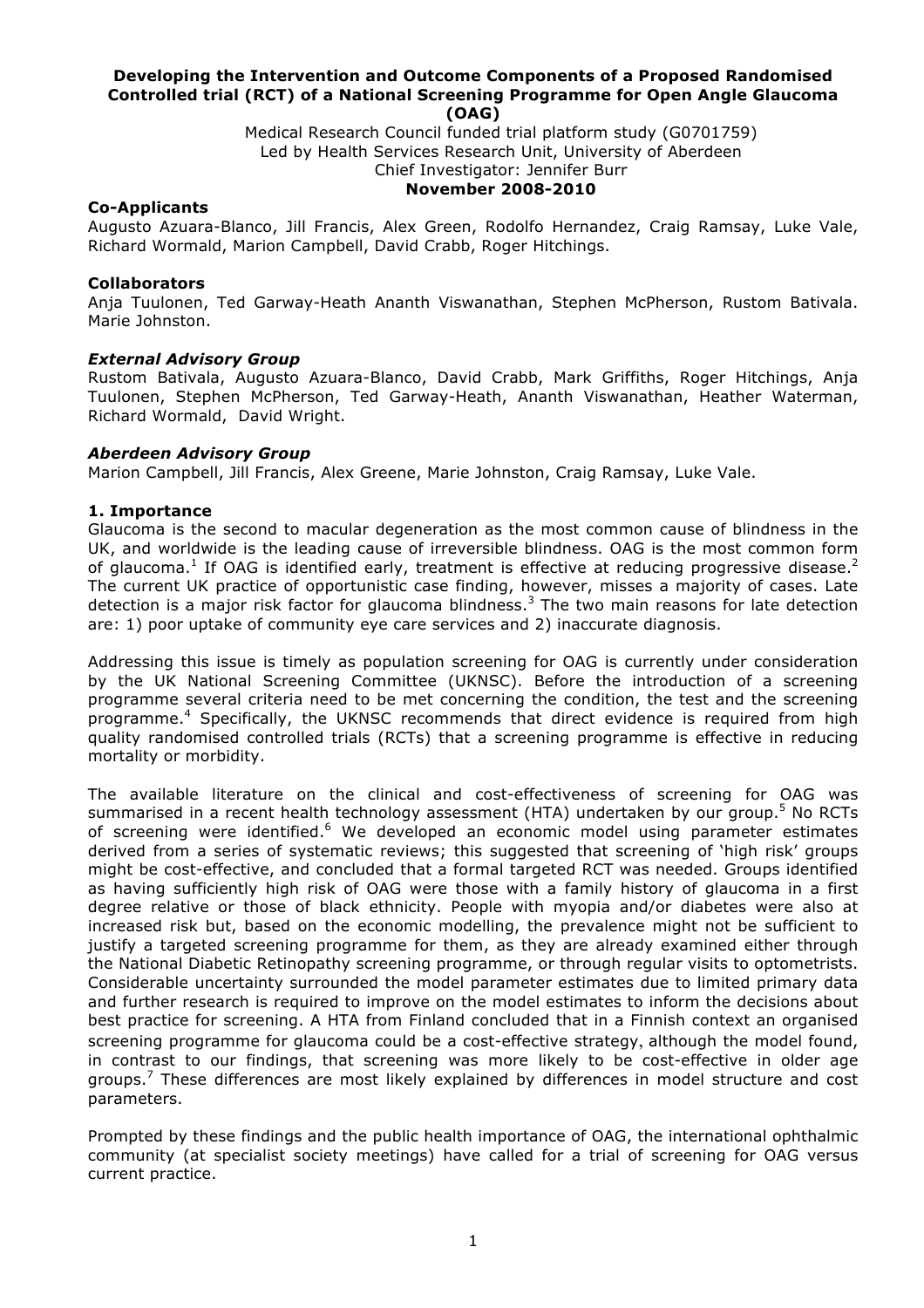#### **Developing the Intervention and Outcome Components of a Proposed Randomised Controlled trial (RCT) of a National Screening Programme for Open Angle Glaucoma (OAG)**

Medical Research Council funded trial platform study (G0701759) Led by Health Services Research Unit, University of Aberdeen Chief Investigator: Jennifer Burr

### **November 2008-2010**

### **Co-Applicants**

Augusto Azuara-Blanco, Jill Francis, Alex Green, Rodolfo Hernandez, Craig Ramsay, Luke Vale, Richard Wormald, Marion Campbell, David Crabb, Roger Hitchings.

### **Collaborators**

Anja Tuulonen, Ted Garway-Heath Ananth Viswanathan, Stephen McPherson, Rustom Bativala. Marie Johnston.

#### *External Advisory Group*

Rustom Bativala, Augusto Azuara-Blanco, David Crabb, Mark Griffiths, Roger Hitchings, Anja Tuulonen, Stephen McPherson, Ted Garway-Heath, Ananth Viswanathan, Heather Waterman, Richard Wormald, David Wright.

#### *Aberdeen Advisory Group*

Marion Campbell, Jill Francis, Alex Greene, Marie Johnston, Craig Ramsay, Luke Vale.

#### **1. Importance**

Glaucoma is the second to macular degeneration as the most common cause of blindness in the UK, and worldwide is the leading cause of irreversible blindness. OAG is the most common form of glaucoma.<sup>1</sup> If OAG is identified early, treatment is effective at reducing progressive disease.<sup>2</sup> The current UK practice of opportunistic case finding, however, misses a majority of cases. Late detection is a major risk factor for glaucoma blindness.<sup>3</sup> The two main reasons for late detection are: 1) poor uptake of community eye care services and 2) inaccurate diagnosis.

Addressing this issue is timely as population screening for OAG is currently under consideration by the UK National Screening Committee (UKNSC). Before the introduction of a screening programme several criteria need to be met concerning the condition, the test and the screening programme.<sup>4</sup> Specifically, the UKNSC recommends that direct evidence is required from high quality randomised controlled trials (RCTs) that a screening programme is effective in reducing mortality or morbidity.

The available literature on the clinical and cost-effectiveness of screening for OAG was summarised in a recent health technology assessment (HTA) undertaken by our group.<sup>5</sup> No RCTs of screening were identified.<sup>6</sup> We developed an economic model using parameter estimates derived from a series of systematic reviews; this suggested that screening of 'high risk' groups might be cost-effective, and concluded that a formal targeted RCT was needed. Groups identified as having sufficiently high risk of OAG were those with a family history of glaucoma in a first degree relative or those of black ethnicity. People with myopia and/or diabetes were also at increased risk but, based on the economic modelling, the prevalence might not be sufficient to justify a targeted screening programme for them, as they are already examined either through the National Diabetic Retinopathy screening programme, or through regular visits to optometrists. Considerable uncertainty surrounded the model parameter estimates due to limited primary data and further research is required to improve on the model estimates to inform the decisions about best practice for screening. A HTA from Finland concluded that in a Finnish context an organised screening programme for glaucoma could be a cost-effective strategy, although the model found, in contrast to our findings, that screening was more likely to be cost-effective in older age groups.<sup>7</sup> These differences are most likely explained by differences in model structure and cost parameters.

Prompted by these findings and the public health importance of OAG, the international ophthalmic community (at specialist society meetings) have called for a trial of screening for OAG versus current practice.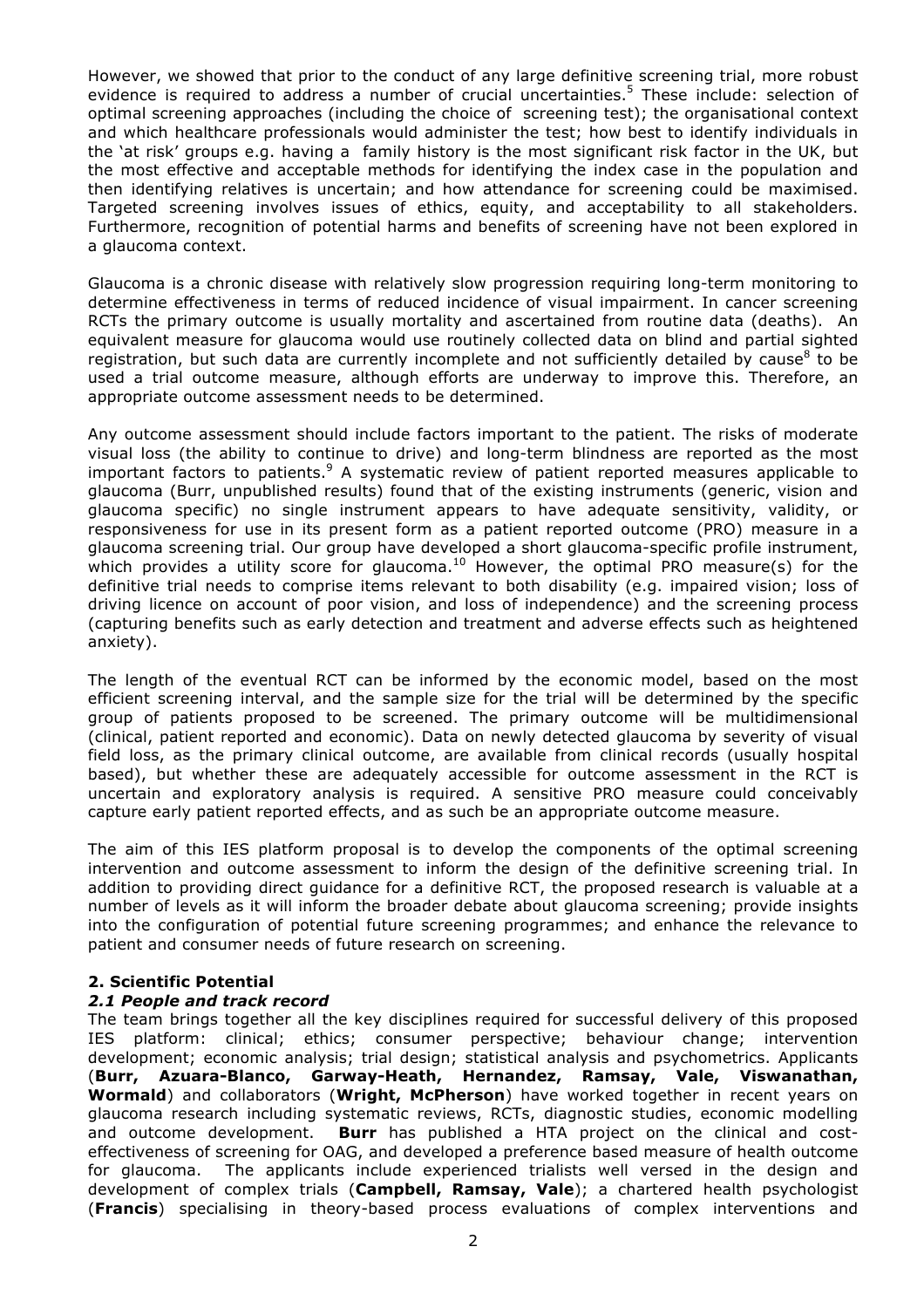However, we showed that prior to the conduct of any large definitive screening trial, more robust evidence is required to address a number of crucial uncertainties.<sup>5</sup> These include: selection of optimal screening approaches (including the choice of screening test); the organisational context and which healthcare professionals would administer the test; how best to identify individuals in the 'at risk' groups e.g. having a family history is the most significant risk factor in the UK, but the most effective and acceptable methods for identifying the index case in the population and then identifying relatives is uncertain; and how attendance for screening could be maximised. Targeted screening involves issues of ethics, equity, and acceptability to all stakeholders. Furthermore, recognition of potential harms and benefits of screening have not been explored in a glaucoma context.

Glaucoma is a chronic disease with relatively slow progression requiring long-term monitoring to determine effectiveness in terms of reduced incidence of visual impairment. In cancer screening RCTs the primary outcome is usually mortality and ascertained from routine data (deaths). An equivalent measure for glaucoma would use routinely collected data on blind and partial sighted registration, but such data are currently incomplete and not sufficiently detailed by cause<sup>8</sup> to be used a trial outcome measure, although efforts are underway to improve this. Therefore, an appropriate outcome assessment needs to be determined.

Any outcome assessment should include factors important to the patient. The risks of moderate visual loss (the ability to continue to drive) and long-term blindness are reported as the most important factors to patients.<sup>9</sup> A systematic review of patient reported measures applicable to glaucoma (Burr, unpublished results) found that of the existing instruments (generic, vision and glaucoma specific) no single instrument appears to have adequate sensitivity, validity, or responsiveness for use in its present form as a patient reported outcome (PRO) measure in a glaucoma screening trial. Our group have developed a short glaucoma-specific profile instrument, which provides a utility score for glaucoma.<sup>10</sup> However, the optimal PRO measure(s) for the definitive trial needs to comprise items relevant to both disability (e.g. impaired vision; loss of driving licence on account of poor vision, and loss of independence) and the screening process (capturing benefits such as early detection and treatment and adverse effects such as heightened anxiety).

The length of the eventual RCT can be informed by the economic model, based on the most efficient screening interval, and the sample size for the trial will be determined by the specific group of patients proposed to be screened. The primary outcome will be multidimensional (clinical, patient reported and economic). Data on newly detected glaucoma by severity of visual field loss, as the primary clinical outcome, are available from clinical records (usually hospital based), but whether these are adequately accessible for outcome assessment in the RCT is uncertain and exploratory analysis is required. A sensitive PRO measure could conceivably capture early patient reported effects, and as such be an appropriate outcome measure.

The aim of this IES platform proposal is to develop the components of the optimal screening intervention and outcome assessment to inform the design of the definitive screening trial. In addition to providing direct guidance for a definitive RCT, the proposed research is valuable at a number of levels as it will inform the broader debate about glaucoma screening; provide insights into the configuration of potential future screening programmes; and enhance the relevance to patient and consumer needs of future research on screening.

# **2. Scientific Potential**

# *2.1 People and track record*

The team brings together all the key disciplines required for successful delivery of this proposed IES platform: clinical; ethics; consumer perspective; behaviour change; intervention development; economic analysis; trial design; statistical analysis and psychometrics. Applicants (**Burr, Azuara-Blanco, Garway-Heath, Hernandez, Ramsay, Vale, Viswanathan, Wormald**) and collaborators (**Wright, McPherson**) have worked together in recent years on glaucoma research including systematic reviews, RCTs, diagnostic studies, economic modelling and outcome development. **Burr** has published a HTA project on the clinical and costeffectiveness of screening for OAG, and developed a preference based measure of health outcome for glaucoma. The applicants include experienced trialists well versed in the design and development of complex trials (**Campbell, Ramsay, Vale**); a chartered health psychologist (**Francis**) specialising in theory-based process evaluations of complex interventions and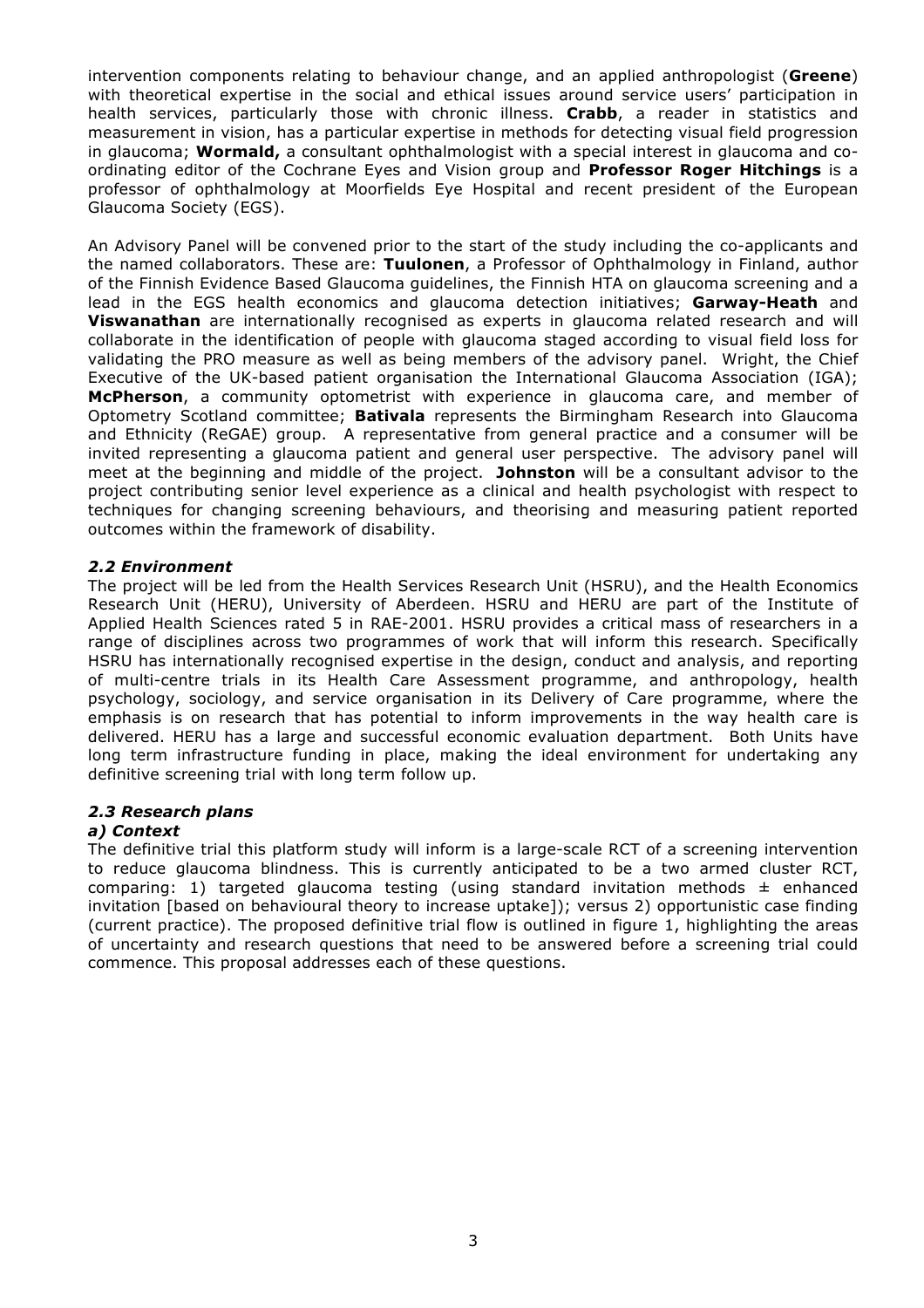intervention components relating to behaviour change, and an applied anthropologist (**Greene**) with theoretical expertise in the social and ethical issues around service users' participation in health services, particularly those with chronic illness. **Crabb**, a reader in statistics and measurement in vision, has a particular expertise in methods for detecting visual field progression in glaucoma; **Wormald,** a consultant ophthalmologist with a special interest in glaucoma and coordinating editor of the Cochrane Eyes and Vision group and **Professor Roger Hitchings** is a professor of ophthalmology at Moorfields Eye Hospital and recent president of the European Glaucoma Society (EGS).

An Advisory Panel will be convened prior to the start of the study including the co-applicants and the named collaborators. These are: **Tuulonen**, a Professor of Ophthalmology in Finland, author of the Finnish Evidence Based Glaucoma guidelines, the Finnish HTA on glaucoma screening and a lead in the EGS health economics and glaucoma detection initiatives; **Garway-Heath** and **Viswanathan** are internationally recognised as experts in glaucoma related research and will collaborate in the identification of people with glaucoma staged according to visual field loss for validating the PRO measure as well as being members of the advisory panel. Wright, the Chief Executive of the UK-based patient organisation the International Glaucoma Association (IGA); **McPherson**, a community optometrist with experience in glaucoma care, and member of Optometry Scotland committee; **Bativala** represents the Birmingham Research into Glaucoma and Ethnicity (ReGAE) group. A representative from general practice and a consumer will be invited representing a glaucoma patient and general user perspective. The advisory panel will meet at the beginning and middle of the project. **Johnston** will be a consultant advisor to the project contributing senior level experience as a clinical and health psychologist with respect to techniques for changing screening behaviours, and theorising and measuring patient reported outcomes within the framework of disability.

# *2.2 Environment*

The project will be led from the Health Services Research Unit (HSRU), and the Health Economics Research Unit (HERU), University of Aberdeen. HSRU and HERU are part of the Institute of Applied Health Sciences rated 5 in RAE-2001. HSRU provides a critical mass of researchers in a range of disciplines across two programmes of work that will inform this research. Specifically HSRU has internationally recognised expertise in the design, conduct and analysis, and reporting of multi-centre trials in its Health Care Assessment programme, and anthropology, health psychology, sociology, and service organisation in its Delivery of Care programme, where the emphasis is on research that has potential to inform improvements in the way health care is delivered. HERU has a large and successful economic evaluation department. Both Units have long term infrastructure funding in place, making the ideal environment for undertaking any definitive screening trial with long term follow up.

# *2.3 Research plans*

# *a) Context*

The definitive trial this platform study will inform is a large-scale RCT of a screening intervention to reduce glaucoma blindness. This is currently anticipated to be a two armed cluster RCT, comparing: 1) targeted glaucoma testing (using standard invitation methods  $\pm$  enhanced invitation [based on behavioural theory to increase uptake]); versus 2) opportunistic case finding (current practice). The proposed definitive trial flow is outlined in figure 1, highlighting the areas of uncertainty and research questions that need to be answered before a screening trial could commence. This proposal addresses each of these questions.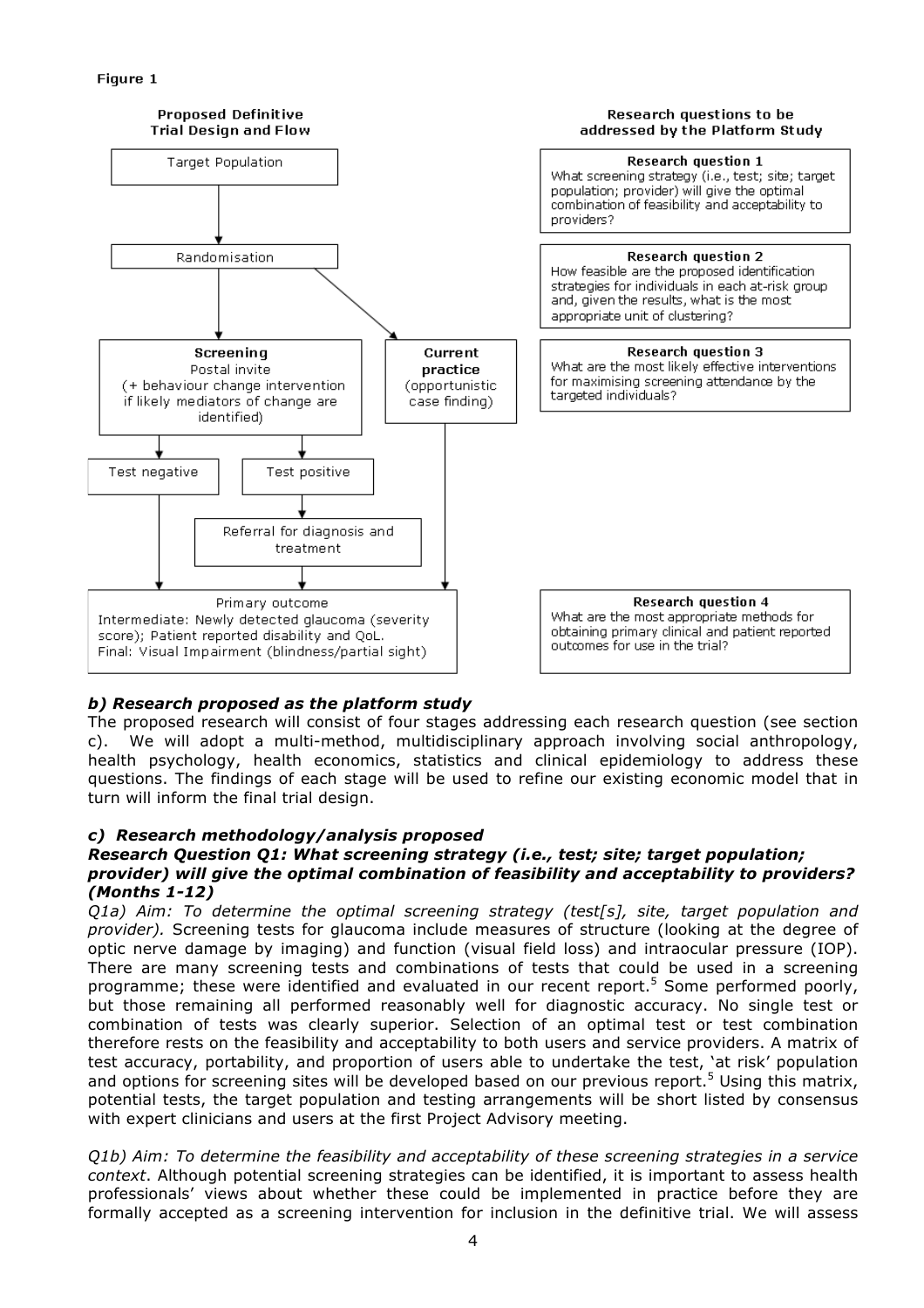# Figure 1



# *b) Research proposed as the platform study*

The proposed research will consist of four stages addressing each research question (see section c). We will adopt a multi-method, multidisciplinary approach involving social anthropology, health psychology, health economics, statistics and clinical epidemiology to address these questions. The findings of each stage will be used to refine our existing economic model that in turn will inform the final trial design.

# *c) Research methodology/analysis proposed*

# *Research Question Q1: What screening strategy (i.e., test; site; target population; provider) will give the optimal combination of feasibility and acceptability to providers? (Months 1-12)*

*Q1a) Aim: To determine the optimal screening strategy (test[s], site, target population and provider).* Screening tests for glaucoma include measures of structure (looking at the degree of optic nerve damage by imaging) and function (visual field loss) and intraocular pressure (IOP). There are many screening tests and combinations of tests that could be used in a screening programme; these were identified and evaluated in our recent report.<sup>5</sup> Some performed poorly, but those remaining all performed reasonably well for diagnostic accuracy. No single test or combination of tests was clearly superior. Selection of an optimal test or test combination therefore rests on the feasibility and acceptability to both users and service providers. A matrix of test accuracy, portability, and proportion of users able to undertake the test, 'at risk' population and options for screening sites will be developed based on our previous report.<sup>5</sup> Using this matrix, potential tests, the target population and testing arrangements will be short listed by consensus with expert clinicians and users at the first Project Advisory meeting.

*Q1b) Aim: To determine the feasibility and acceptability of these screening strategies in a service context*. Although potential screening strategies can be identified, it is important to assess health professionals' views about whether these could be implemented in practice before they are formally accepted as a screening intervention for inclusion in the definitive trial. We will assess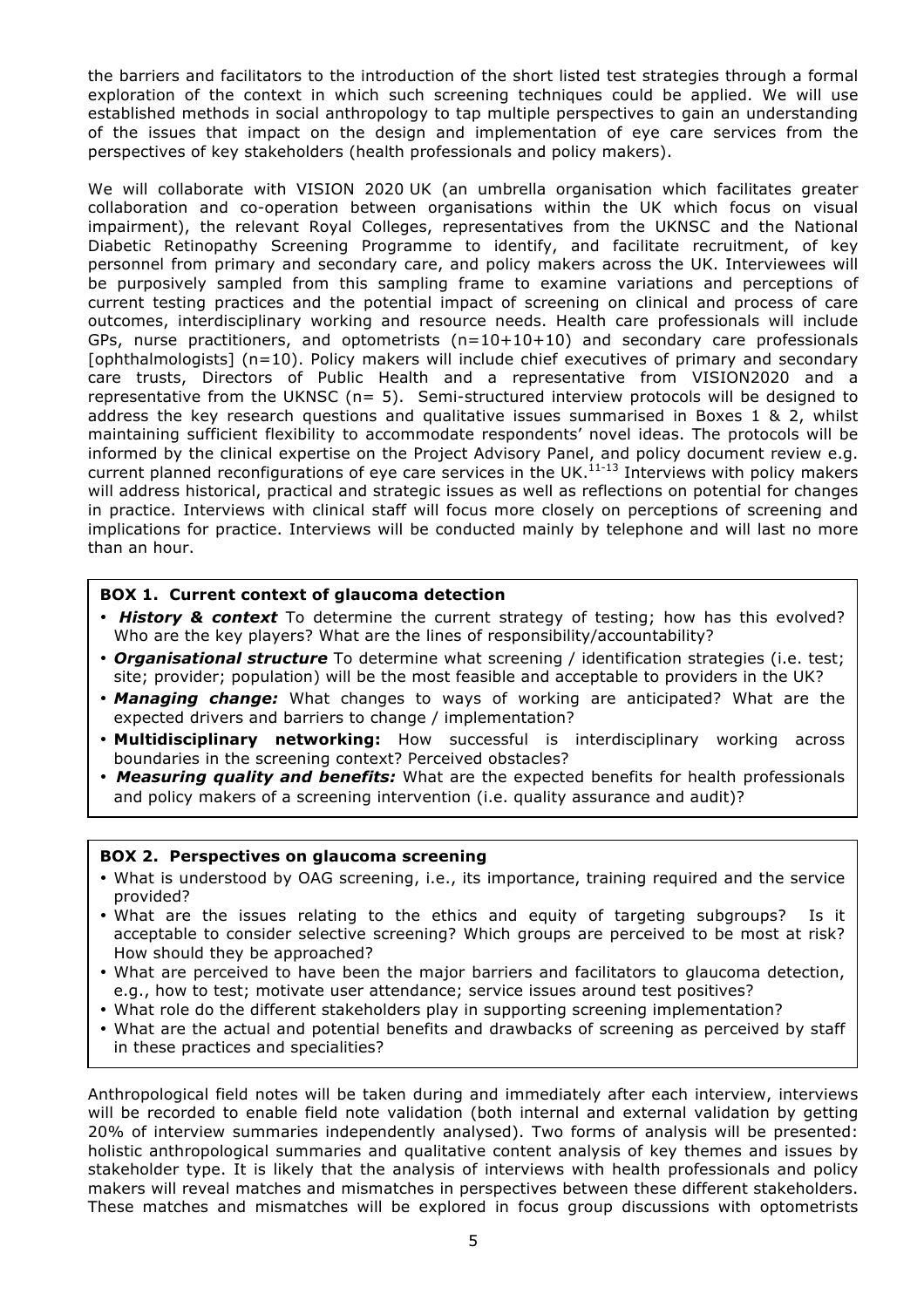the barriers and facilitators to the introduction of the short listed test strategies through a formal exploration of the context in which such screening techniques could be applied. We will use established methods in social anthropology to tap multiple perspectives to gain an understanding of the issues that impact on the design and implementation of eye care services from the perspectives of key stakeholders (health professionals and policy makers).

We will collaborate with VISION 2020 UK (an umbrella organisation which facilitates greater collaboration and co-operation between organisations within the UK which focus on visual impairment), the relevant Royal Colleges, representatives from the UKNSC and the National Diabetic Retinopathy Screening Programme to identify, and facilitate recruitment, of key personnel from primary and secondary care, and policy makers across the UK. Interviewees will be purposively sampled from this sampling frame to examine variations and perceptions of current testing practices and the potential impact of screening on clinical and process of care outcomes, interdisciplinary working and resource needs. Health care professionals will include GPs, nurse practitioners, and optometrists (n=10+10+10) and secondary care professionals [ophthalmologists] (n=10). Policy makers will include chief executives of primary and secondary care trusts, Directors of Public Health and a representative from VISION2020 and a representative from the UKNSC (n= 5). Semi-structured interview protocols will be designed to address the key research questions and qualitative issues summarised in Boxes 1 & 2, whilst maintaining sufficient flexibility to accommodate respondents' novel ideas. The protocols will be informed by the clinical expertise on the Project Advisory Panel, and policy document review e.g. current planned reconfigurations of eye care services in the UK.<sup>11-13</sup> Interviews with policy makers will address historical, practical and strategic issues as well as reflections on potential for changes in practice. Interviews with clinical staff will focus more closely on perceptions of screening and implications for practice. Interviews will be conducted mainly by telephone and will last no more than an hour.

# **BOX 1. Current context of glaucoma detection**

- *History & context* To determine the current strategy of testing; how has this evolved? Who are the key players? What are the lines of responsibility/accountability?
- *Organisational structure* To determine what screening / identification strategies (i.e. test; site; provider; population) will be the most feasible and acceptable to providers in the UK?
- *Managing change:* What changes to ways of working are anticipated? What are the expected drivers and barriers to change / implementation?
- **Multidisciplinary networking:** How successful is interdisciplinary working across boundaries in the screening context? Perceived obstacles?
- *Measuring quality and benefits:* What are the expected benefits for health professionals and policy makers of a screening intervention (i.e. quality assurance and audit)?

# **BOX 2. Perspectives on glaucoma screening**

- What is understood by OAG screening, i.e., its importance, training required and the service provided?
- What are the issues relating to the ethics and equity of targeting subgroups? Is it acceptable to consider selective screening? Which groups are perceived to be most at risk? How should they be approached?
- What are perceived to have been the major barriers and facilitators to glaucoma detection, e.g., how to test; motivate user attendance; service issues around test positives?
- What role do the different stakeholders play in supporting screening implementation?
- What are the actual and potential benefits and drawbacks of screening as perceived by staff in these practices and specialities?

Anthropological field notes will be taken during and immediately after each interview, interviews will be recorded to enable field note validation (both internal and external validation by getting 20% of interview summaries independently analysed). Two forms of analysis will be presented: holistic anthropological summaries and qualitative content analysis of key themes and issues by stakeholder type. It is likely that the analysis of interviews with health professionals and policy makers will reveal matches and mismatches in perspectives between these different stakeholders. These matches and mismatches will be explored in focus group discussions with optometrists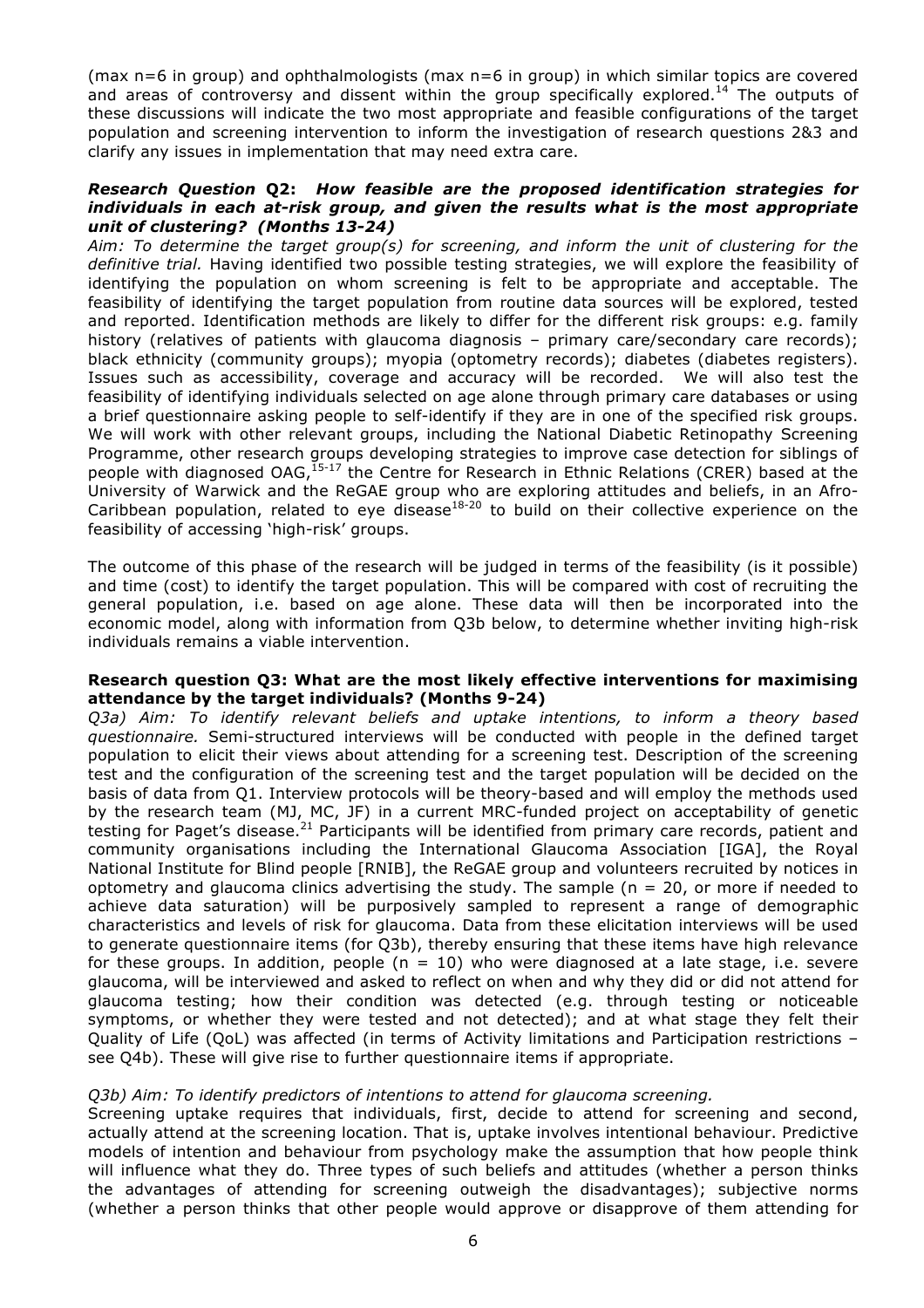(max n=6 in group) and ophthalmologists (max n=6 in group) in which similar topics are covered and areas of controversy and dissent within the group specifically explored.<sup>14</sup> The outputs of these discussions will indicate the two most appropriate and feasible configurations of the target population and screening intervention to inform the investigation of research questions 2&3 and clarify any issues in implementation that may need extra care.

#### *Research Question* **Q2:** *How feasible are the proposed identification strategies for individuals in each at-risk group, and given the results what is the most appropriate unit of clustering? (Months 13-24)*

*Aim: To determine the target group(s) for screening, and inform the unit of clustering for the definitive trial.* Having identified two possible testing strategies, we will explore the feasibility of identifying the population on whom screening is felt to be appropriate and acceptable. The feasibility of identifying the target population from routine data sources will be explored, tested and reported. Identification methods are likely to differ for the different risk groups: e.g. family history (relatives of patients with glaucoma diagnosis - primary care/secondary care records); black ethnicity (community groups); myopia (optometry records); diabetes (diabetes registers). Issues such as accessibility, coverage and accuracy will be recorded. We will also test the feasibility of identifying individuals selected on age alone through primary care databases or using a brief questionnaire asking people to self-identify if they are in one of the specified risk groups. We will work with other relevant groups, including the National Diabetic Retinopathy Screening Programme, other research groups developing strategies to improve case detection for siblings of people with diagnosed OAG,<sup>15-17</sup> the Centre for Research in Ethnic Relations (CRER) based at the University of Warwick and the ReGAE group who are exploring attitudes and beliefs, in an Afro-Caribbean population, related to eye disease $18-20$  to build on their collective experience on the feasibility of accessing 'high-risk' groups.

The outcome of this phase of the research will be judged in terms of the feasibility (is it possible) and time (cost) to identify the target population. This will be compared with cost of recruiting the general population, i.e. based on age alone. These data will then be incorporated into the economic model, along with information from Q3b below, to determine whether inviting high-risk individuals remains a viable intervention.

#### **Research question Q3: What are the most likely effective interventions for maximising attendance by the target individuals? (Months 9-24)**

*Q3a) Aim: To identify relevant beliefs and uptake intentions, to inform a theory based questionnaire.* Semi-structured interviews will be conducted with people in the defined target population to elicit their views about attending for a screening test. Description of the screening test and the configuration of the screening test and the target population will be decided on the basis of data from Q1. Interview protocols will be theory-based and will employ the methods used by the research team (MJ, MC, JF) in a current MRC-funded project on acceptability of genetic testing for Paget's disease.<sup>21</sup> Participants will be identified from primary care records, patient and community organisations including the International Glaucoma Association [IGA], the Royal National Institute for Blind people [RNIB], the ReGAE group and volunteers recruited by notices in optometry and glaucoma clinics advertising the study. The sample ( $n = 20$ , or more if needed to achieve data saturation) will be purposively sampled to represent a range of demographic characteristics and levels of risk for glaucoma. Data from these elicitation interviews will be used to generate questionnaire items (for Q3b), thereby ensuring that these items have high relevance for these groups. In addition, people ( $n = 10$ ) who were diagnosed at a late stage, i.e. severe glaucoma, will be interviewed and asked to reflect on when and why they did or did not attend for glaucoma testing; how their condition was detected (e.g. through testing or noticeable symptoms, or whether they were tested and not detected); and at what stage they felt their Quality of Life (QoL) was affected (in terms of Activity limitations and Participation restrictions – see Q4b). These will give rise to further questionnaire items if appropriate.

# *Q3b) Aim: To identify predictors of intentions to attend for glaucoma screening.*

Screening uptake requires that individuals, first, decide to attend for screening and second, actually attend at the screening location. That is, uptake involves intentional behaviour. Predictive models of intention and behaviour from psychology make the assumption that how people think will influence what they do. Three types of such beliefs and attitudes (whether a person thinks the advantages of attending for screening outweigh the disadvantages); subjective norms (whether a person thinks that other people would approve or disapprove of them attending for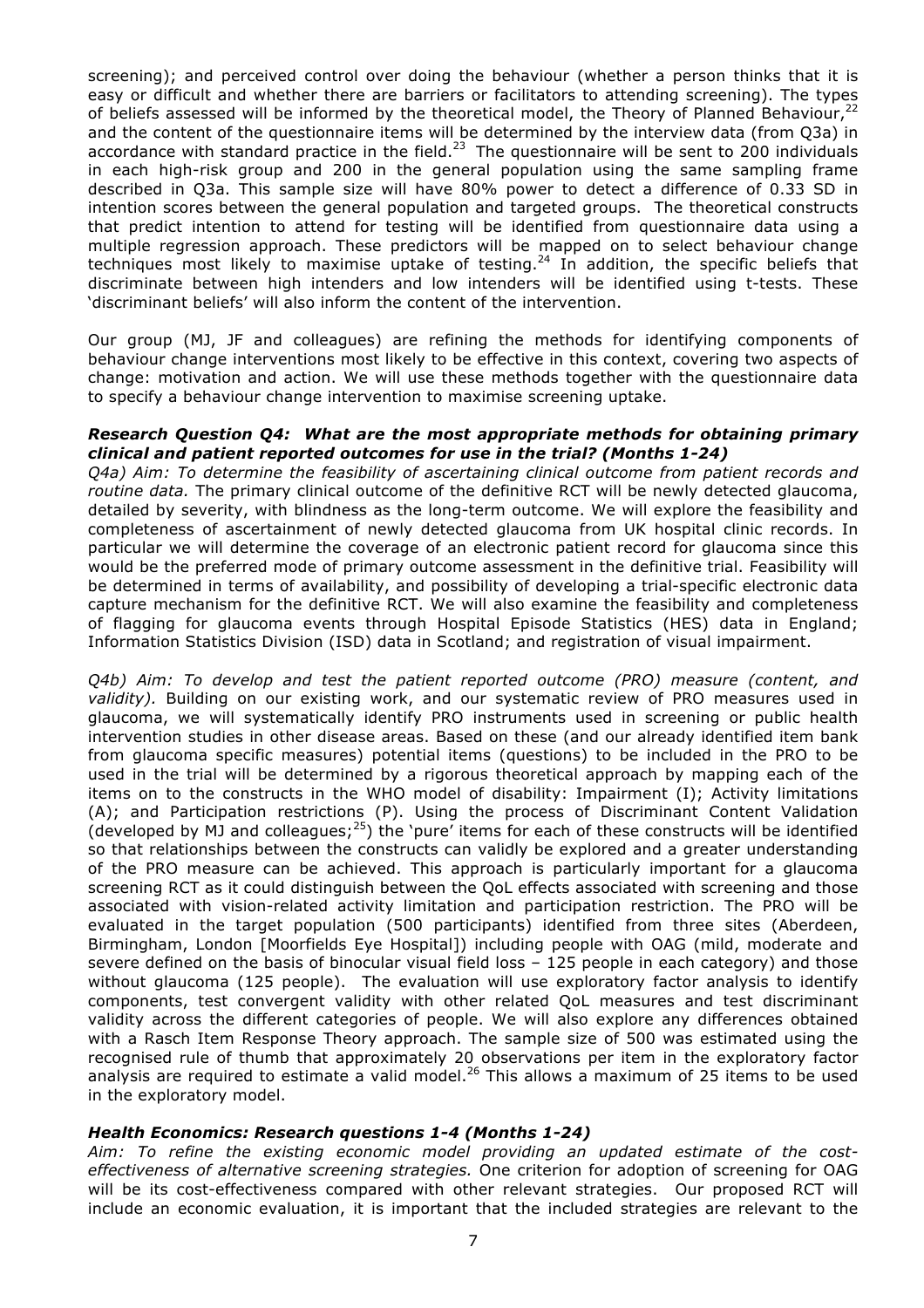screening); and perceived control over doing the behaviour (whether a person thinks that it is easy or difficult and whether there are barriers or facilitators to attending screening). The types of beliefs assessed will be informed by the theoretical model, the Theory of Planned Behaviour,<sup>22</sup> and the content of the questionnaire items will be determined by the interview data (from Q3a) in accordance with standard practice in the field.<sup>23</sup> The questionnaire will be sent to 200 individuals in each high-risk group and 200 in the general population using the same sampling frame described in Q3a. This sample size will have 80% power to detect a difference of 0.33 SD in intention scores between the general population and targeted groups. The theoretical constructs that predict intention to attend for testing will be identified from questionnaire data using a multiple regression approach. These predictors will be mapped on to select behaviour change techniques most likely to maximise uptake of testing.<sup>24</sup> In addition, the specific beliefs that discriminate between high intenders and low intenders will be identified using t-tests. These 'discriminant beliefs' will also inform the content of the intervention.

Our group (MJ, JF and colleagues) are refining the methods for identifying components of behaviour change interventions most likely to be effective in this context, covering two aspects of change: motivation and action. We will use these methods together with the questionnaire data to specify a behaviour change intervention to maximise screening uptake.

#### *Research Question Q4: What are the most appropriate methods for obtaining primary clinical and patient reported outcomes for use in the trial? (Months 1-24)*

*Q4a) Aim: To determine the feasibility of ascertaining clinical outcome from patient records and routine data.* The primary clinical outcome of the definitive RCT will be newly detected glaucoma, detailed by severity, with blindness as the long-term outcome. We will explore the feasibility and completeness of ascertainment of newly detected glaucoma from UK hospital clinic records. In particular we will determine the coverage of an electronic patient record for glaucoma since this would be the preferred mode of primary outcome assessment in the definitive trial. Feasibility will be determined in terms of availability, and possibility of developing a trial-specific electronic data capture mechanism for the definitive RCT. We will also examine the feasibility and completeness of flagging for glaucoma events through Hospital Episode Statistics (HES) data in England; Information Statistics Division (ISD) data in Scotland; and registration of visual impairment.

*Q4b) Aim: To develop and test the patient reported outcome (PRO) measure (content, and validity).* Building on our existing work, and our systematic review of PRO measures used in glaucoma, we will systematically identify PRO instruments used in screening or public health intervention studies in other disease areas. Based on these (and our already identified item bank from glaucoma specific measures) potential items (questions) to be included in the PRO to be used in the trial will be determined by a rigorous theoretical approach by mapping each of the items on to the constructs in the WHO model of disability: Impairment (I); Activity limitations (A); and Participation restrictions (P). Using the process of Discriminant Content Validation (developed by MJ and colleagues;<sup>25</sup>) the 'pure' items for each of these constructs will be identified so that relationships between the constructs can validly be explored and a greater understanding of the PRO measure can be achieved. This approach is particularly important for a glaucoma screening RCT as it could distinguish between the QoL effects associated with screening and those associated with vision-related activity limitation and participation restriction. The PRO will be evaluated in the target population (500 participants) identified from three sites (Aberdeen, Birmingham, London [Moorfields Eye Hospital]) including people with OAG (mild, moderate and severe defined on the basis of binocular visual field loss – 125 people in each category) and those without glaucoma (125 people). The evaluation will use exploratory factor analysis to identify components, test convergent validity with other related QoL measures and test discriminant validity across the different categories of people. We will also explore any differences obtained with a Rasch Item Response Theory approach. The sample size of 500 was estimated using the recognised rule of thumb that approximately 20 observations per item in the exploratory factor analysis are required to estimate a valid model.<sup>26</sup> This allows a maximum of 25 items to be used in the exploratory model.

# *Health Economics: Research questions 1-4 (Months 1-24)*

*Aim: To refine the existing economic model providing an updated estimate of the costeffectiveness of alternative screening strategies.* One criterion for adoption of screening for OAG will be its cost-effectiveness compared with other relevant strategies. Our proposed RCT will include an economic evaluation, it is important that the included strategies are relevant to the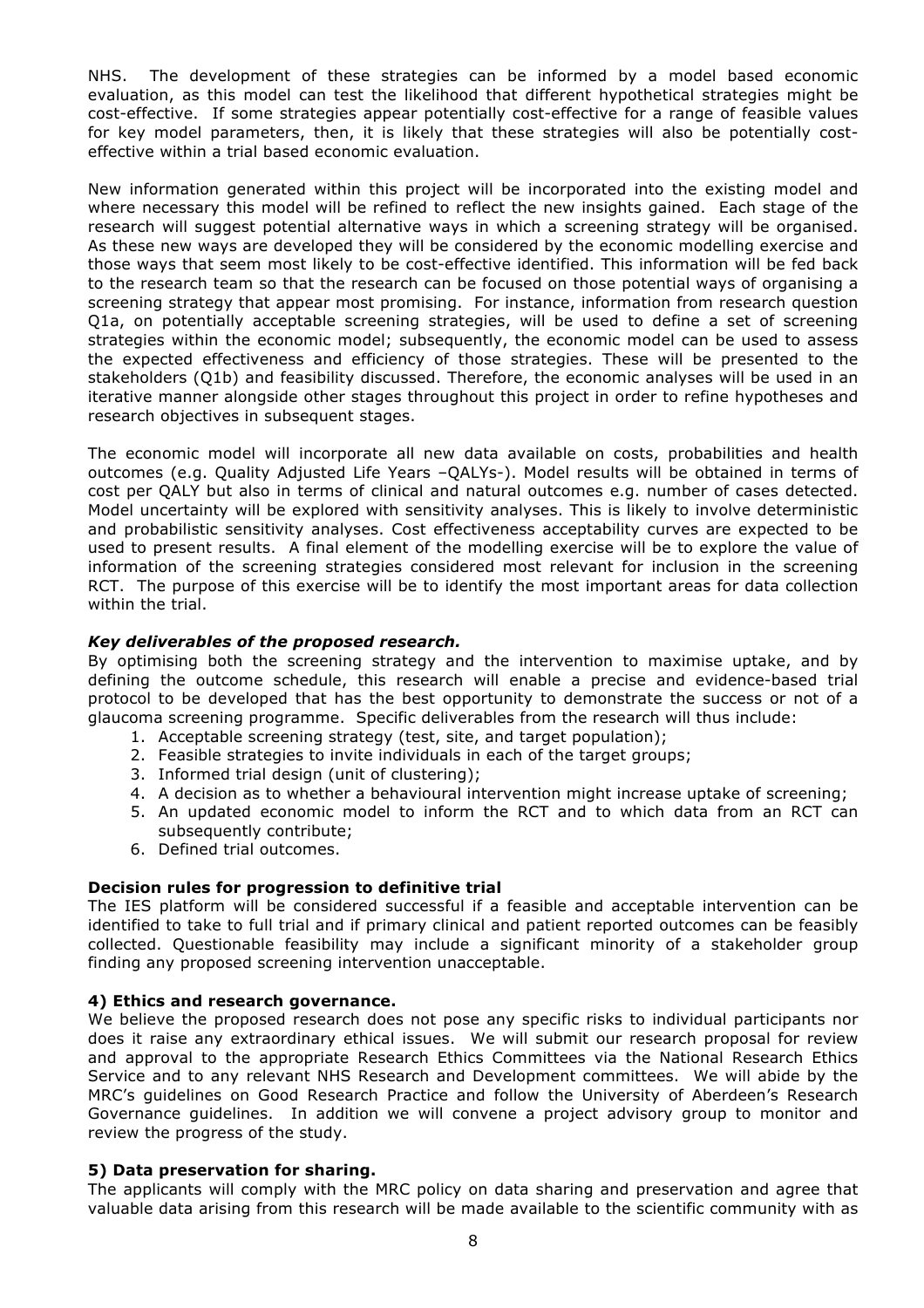NHS. The development of these strategies can be informed by a model based economic evaluation, as this model can test the likelihood that different hypothetical strategies might be cost-effective. If some strategies appear potentially cost-effective for a range of feasible values for key model parameters, then, it is likely that these strategies will also be potentially costeffective within a trial based economic evaluation.

New information generated within this project will be incorporated into the existing model and where necessary this model will be refined to reflect the new insights gained. Each stage of the research will suggest potential alternative ways in which a screening strategy will be organised. As these new ways are developed they will be considered by the economic modelling exercise and those ways that seem most likely to be cost-effective identified. This information will be fed back to the research team so that the research can be focused on those potential ways of organising a screening strategy that appear most promising. For instance, information from research question Q1a, on potentially acceptable screening strategies, will be used to define a set of screening strategies within the economic model; subsequently, the economic model can be used to assess the expected effectiveness and efficiency of those strategies. These will be presented to the stakeholders (Q1b) and feasibility discussed. Therefore, the economic analyses will be used in an iterative manner alongside other stages throughout this project in order to refine hypotheses and research objectives in subsequent stages.

The economic model will incorporate all new data available on costs, probabilities and health outcomes (e.g. Quality Adjusted Life Years –QALYs-). Model results will be obtained in terms of cost per QALY but also in terms of clinical and natural outcomes e.g. number of cases detected. Model uncertainty will be explored with sensitivity analyses. This is likely to involve deterministic and probabilistic sensitivity analyses. Cost effectiveness acceptability curves are expected to be used to present results. A final element of the modelling exercise will be to explore the value of information of the screening strategies considered most relevant for inclusion in the screening RCT. The purpose of this exercise will be to identify the most important areas for data collection within the trial.

# *Key deliverables of the proposed research.*

By optimising both the screening strategy and the intervention to maximise uptake, and by defining the outcome schedule, this research will enable a precise and evidence-based trial protocol to be developed that has the best opportunity to demonstrate the success or not of a glaucoma screening programme. Specific deliverables from the research will thus include:

- 1. Acceptable screening strategy (test, site, and target population);
- 2. Feasible strategies to invite individuals in each of the target groups;
- 3. Informed trial design (unit of clustering);
- 4. A decision as to whether a behavioural intervention might increase uptake of screening;
- 5. An updated economic model to inform the RCT and to which data from an RCT can subsequently contribute;
- 6. Defined trial outcomes.

# **Decision rules for progression to definitive trial**

The IES platform will be considered successful if a feasible and acceptable intervention can be identified to take to full trial and if primary clinical and patient reported outcomes can be feasibly collected. Questionable feasibility may include a significant minority of a stakeholder group finding any proposed screening intervention unacceptable.

# **4) Ethics and research governance.**

We believe the proposed research does not pose any specific risks to individual participants nor does it raise any extraordinary ethical issues. We will submit our research proposal for review and approval to the appropriate Research Ethics Committees via the National Research Ethics Service and to any relevant NHS Research and Development committees. We will abide by the MRC's guidelines on Good Research Practice and follow the University of Aberdeen's Research Governance guidelines. In addition we will convene a project advisory group to monitor and review the progress of the study.

# **5) Data preservation for sharing.**

The applicants will comply with the MRC policy on data sharing and preservation and agree that valuable data arising from this research will be made available to the scientific community with as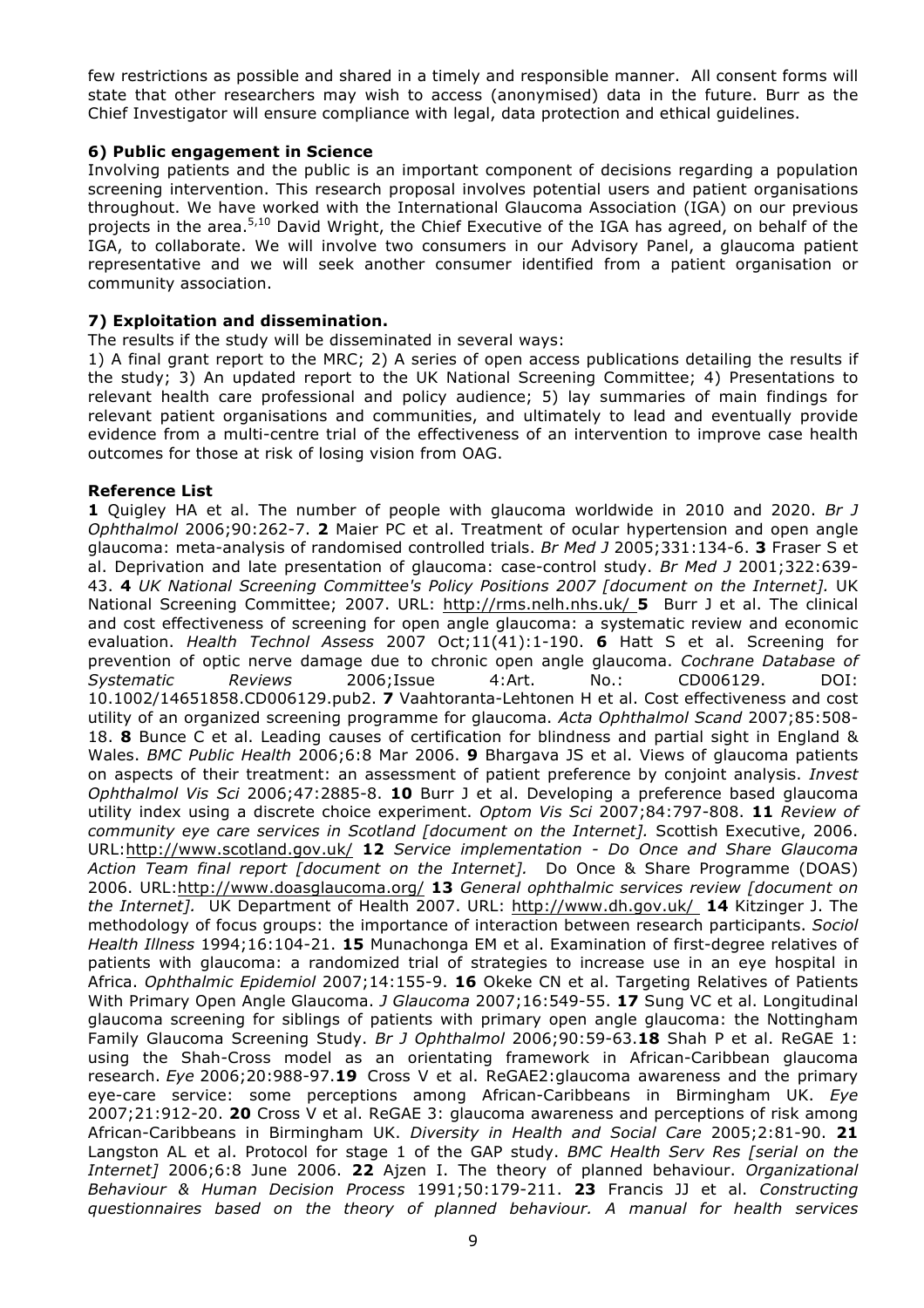few restrictions as possible and shared in a timely and responsible manner. All consent forms will state that other researchers may wish to access (anonymised) data in the future. Burr as the Chief Investigator will ensure compliance with legal, data protection and ethical guidelines.

# **6) Public engagement in Science**

Involving patients and the public is an important component of decisions regarding a population screening intervention. This research proposal involves potential users and patient organisations throughout. We have worked with the International Glaucoma Association (IGA) on our previous projects in the area.<sup>5,10</sup> David Wright, the Chief Executive of the IGA has agreed, on behalf of the IGA, to collaborate. We will involve two consumers in our Advisory Panel, a glaucoma patient representative and we will seek another consumer identified from a patient organisation or community association.

# **7) Exploitation and dissemination.**

The results if the study will be disseminated in several ways:

1) A final grant report to the MRC; 2) A series of open access publications detailing the results if the study; 3) An updated report to the UK National Screening Committee; 4) Presentations to relevant health care professional and policy audience; 5) lay summaries of main findings for relevant patient organisations and communities, and ultimately to lead and eventually provide evidence from a multi-centre trial of the effectiveness of an intervention to improve case health outcomes for those at risk of losing vision from OAG.

# **Reference List**

**1** Quigley HA et al. The number of people with glaucoma worldwide in 2010 and 2020. *Br J Ophthalmol* 2006;90:262-7. **2** Maier PC et al. Treatment of ocular hypertension and open angle glaucoma: meta-analysis of randomised controlled trials. *Br Med J* 2005;331:134-6. **3** Fraser S et al. Deprivation and late presentation of glaucoma: case-control study. *Br Med J* 2001;322:639- 43. **4** *UK National Screening Committee's Policy Positions 2007 [document on the Internet].* UK National Screening Committee; 2007. URL: http://rms.nelh.nhs.uk/ **5** Burr J et al. The clinical and cost effectiveness of screening for open angle glaucoma: a systematic review and economic evaluation. *Health Technol Assess* 2007 Oct;11(41):1-190. **6** Hatt S et al. Screening for prevention of optic nerve damage due to chronic open angle glaucoma. *Cochrane Database of Systematic Reviews* 2006;Issue 4:Art. No.: CD006129. DOI: 10.1002/14651858.CD006129.pub2. **7** Vaahtoranta-Lehtonen H et al. Cost effectiveness and cost utility of an organized screening programme for glaucoma. *Acta Ophthalmol Scand* 2007;85:508- 18. **8** Bunce C et al. Leading causes of certification for blindness and partial sight in England & Wales. *BMC Public Health* 2006;6:8 Mar 2006. **9** Bhargava JS et al. Views of glaucoma patients on aspects of their treatment: an assessment of patient preference by conjoint analysis. *Invest Ophthalmol Vis Sci* 2006;47:2885-8. **10** Burr J et al. Developing a preference based glaucoma utility index using a discrete choice experiment. *Optom Vis Sci* 2007;84:797-808. **11** *Review of community eye care services in Scotland [document on the Internet].* Scottish Executive, 2006. URL:http://www.scotland.gov.uk/ **12** *Service implementation - Do Once and Share Glaucoma Action Team final report [document on the Internet].* Do Once & Share Programme (DOAS) 2006. URL:http://www.doasglaucoma.org/ **13** *General ophthalmic services review [document on the Internet].* UK Department of Health 2007. URL: http://www.dh.gov.uk/ **14** Kitzinger J. The methodology of focus groups: the importance of interaction between research participants. *Sociol Health Illness* 1994;16:104-21. **15** Munachonga EM et al. Examination of first-degree relatives of patients with glaucoma: a randomized trial of strategies to increase use in an eye hospital in Africa. *Ophthalmic Epidemiol* 2007;14:155-9. **16** Okeke CN et al. Targeting Relatives of Patients With Primary Open Angle Glaucoma. *J Glaucoma* 2007;16:549-55. **17** Sung VC et al. Longitudinal glaucoma screening for siblings of patients with primary open angle glaucoma: the Nottingham Family Glaucoma Screening Study. *Br J Ophthalmol* 2006;90:59-63.**18** Shah P et al. ReGAE 1: using the Shah-Cross model as an orientating framework in African-Caribbean glaucoma research. *Eye* 2006;20:988-97.**19** Cross V et al. ReGAE2:glaucoma awareness and the primary eye-care service: some perceptions among African-Caribbeans in Birmingham UK. *Eye* 2007;21:912-20. **20** Cross V et al. ReGAE 3: glaucoma awareness and perceptions of risk among African-Caribbeans in Birmingham UK. *Diversity in Health and Social Care* 2005;2:81-90. **21** Langston AL et al. Protocol for stage 1 of the GAP study. *BMC Health Serv Res [serial on the Internet]* 2006;6:8 June 2006. **22** Ajzen I. The theory of planned behaviour. *Organizational Behaviour & Human Decision Process* 1991;50:179-211. **23** Francis JJ et al. *Constructing questionnaires based on the theory of planned behaviour. A manual for health services*